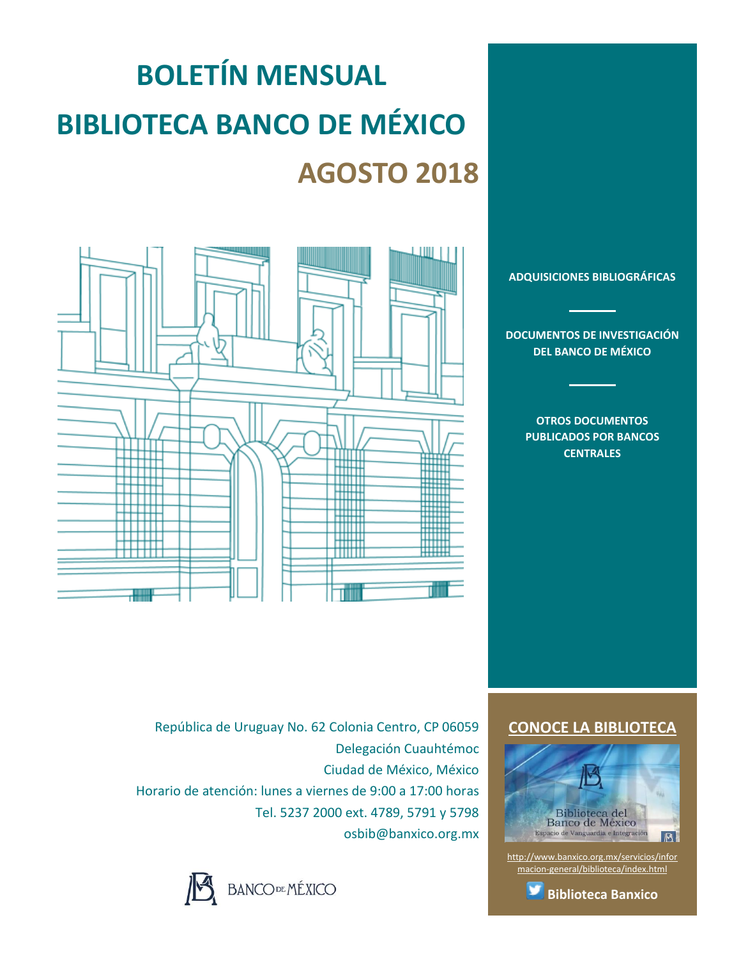# **BOLETÍN MENSUAL BIBLIOTECA BANCO DE MÉXICO AGOSTO 2018**



**[ADQUISICIONES BIBLIOGRÁFICAS](#page-1-0)**

**[DOCUMENTOS DE INVESTIGACIÓN](#page-2-0)  [DEL BANCO DE MÉXICO](#page-2-0)**

> **[OTROS DOCUMENTOS](#page-3-0)  [PUBLICADOS POR BANCOS](#page-3-0)  [CENTRALES](#page-3-0)**

República de Uruguay No. 62 Colonia Centro, CP 06059 Delegación Cuauhtémoc Ciudad de México, México Horario de atención: lunes a viernes de 9:00 a 17:00 horas Tel. 5237 2000 ext. 4789, 5791 y 5798 osbib@banxico.org.mx



### **[CONOCE LA BIBLIOTECA](http://www.banxico.org.mx/servicios/informacion-general/biblioteca/index.html)**



[http://www.banxico.org.mx/servicios/infor](http://www.banxico.org.mx/servicios/informacion-general/biblioteca/index.html) [macion-general/biblioteca/index.html](http://www.banxico.org.mx/servicios/informacion-general/biblioteca/index.html)

**[Biblioteca Banxico](https://twitter.com/BiblioBanxico)**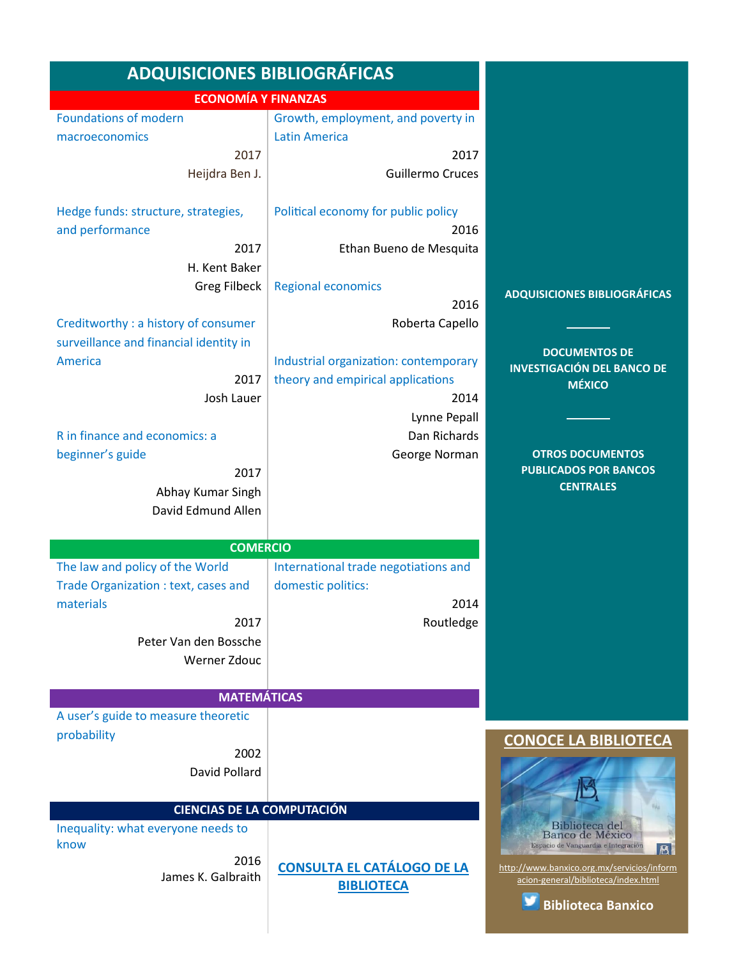<span id="page-1-0"></span>

| <b>ADQUISICIONES BIBLIOGRÁFICAS</b>                    |                                             |                                                                                   |
|--------------------------------------------------------|---------------------------------------------|-----------------------------------------------------------------------------------|
| <b>ECONOMÍA Y FINANZAS</b>                             |                                             |                                                                                   |
| <b>Foundations of modern</b>                           | Growth, employment, and poverty in          |                                                                                   |
| macroeconomics                                         | <b>Latin America</b>                        |                                                                                   |
| 2017                                                   | 2017                                        |                                                                                   |
| Heijdra Ben J.                                         | <b>Guillermo Cruces</b>                     |                                                                                   |
| Hedge funds: structure, strategies,<br>and performance | Political economy for public policy<br>2016 |                                                                                   |
| 2017                                                   | Ethan Bueno de Mesquita                     |                                                                                   |
| H. Kent Baker                                          |                                             |                                                                                   |
| <b>Greg Filbeck</b>                                    | <b>Regional economics</b><br>2016           | <b>ADQUISICIONES BIBLIOGRÁFICAS</b>                                               |
| Creditworthy: a history of consumer                    | Roberta Capello                             |                                                                                   |
| surveillance and financial identity in                 |                                             |                                                                                   |
| America                                                | Industrial organization: contemporary       | <b>DOCUMENTOS DE</b><br><b>INVESTIGACIÓN DEL BANCO DE</b>                         |
| 2017                                                   | theory and empirical applications           | <b>MÉXICO</b>                                                                     |
| Josh Lauer                                             | 2014                                        |                                                                                   |
|                                                        | Lynne Pepall                                |                                                                                   |
| R in finance and economics: a                          | Dan Richards                                |                                                                                   |
| beginner's guide                                       | George Norman                               | <b>OTROS DOCUMENTOS</b>                                                           |
| 2017                                                   |                                             | <b>PUBLICADOS POR BANCOS</b>                                                      |
| Abhay Kumar Singh                                      |                                             | <b>CENTRALES</b>                                                                  |
| David Edmund Allen                                     |                                             |                                                                                   |
|                                                        |                                             |                                                                                   |
| <b>COMERCIO</b>                                        |                                             |                                                                                   |
| The law and policy of the World                        | International trade negotiations and        |                                                                                   |
| Trade Organization : text, cases and<br>materials      | domestic politics:<br>2014                  |                                                                                   |
| 2017                                                   | Routledge                                   |                                                                                   |
| Peter Van den Bossche                                  |                                             |                                                                                   |
| Werner Zdouc                                           |                                             |                                                                                   |
|                                                        |                                             |                                                                                   |
| <b>MATEMÁTICAS</b>                                     |                                             |                                                                                   |
| A user's guide to measure theoretic                    |                                             |                                                                                   |
| probability                                            |                                             | <b>CONOCE LA BIBLIOTECA</b>                                                       |
| 2002                                                   |                                             |                                                                                   |
| David Pollard                                          |                                             |                                                                                   |
|                                                        |                                             |                                                                                   |
| <b>CIENCIAS DE LA COMPUTACIÓN</b>                      |                                             |                                                                                   |
| Inequality: what everyone needs to                     |                                             | Biblioteca del<br>Banco de México                                                 |
| know<br>2016                                           |                                             | Espacio de Vanguardia e Integración<br>B                                          |
| James K. Galbraith                                     | <b>CONSULTA EL CATÁLOGO DE LA</b>           | http://www.banxico.org.mx/servicios/inform<br>acion-general/biblioteca/index.html |
|                                                        | <b>BIBLIOTECA</b>                           |                                                                                   |
|                                                        |                                             | <b>Biblioteca Banxico</b>                                                         |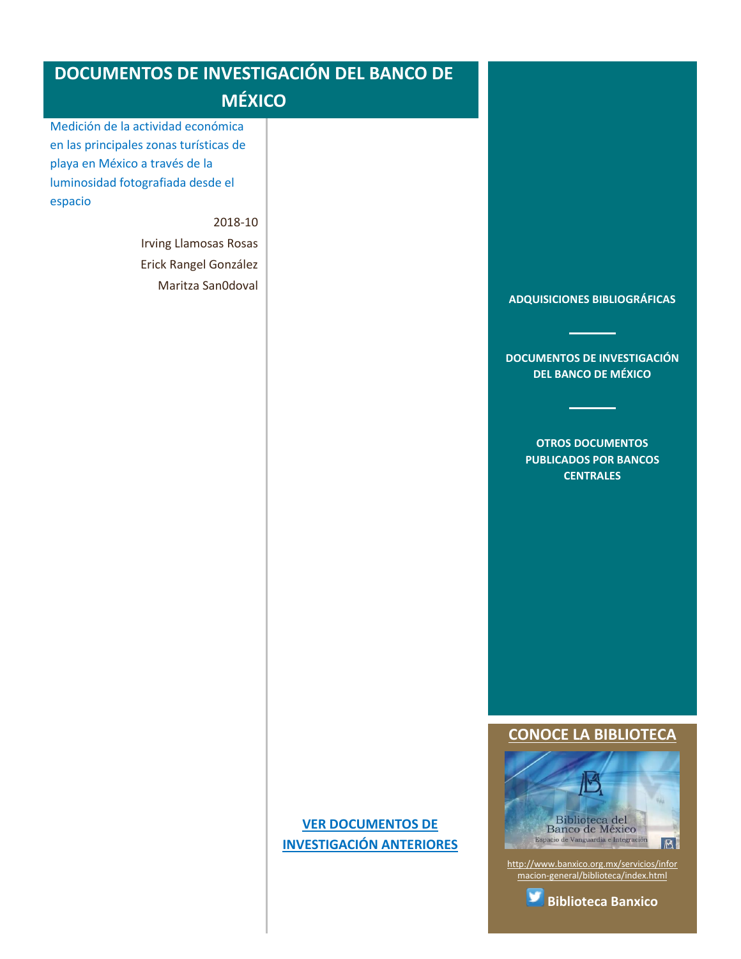<span id="page-2-0"></span>

| <b>DOCUMENTOS DE INVESTIGACIÓN DEL BANCO DE</b><br><b>MÉXICO</b>                                                                                               |                                                             |                                                                                                                                                               |
|----------------------------------------------------------------------------------------------------------------------------------------------------------------|-------------------------------------------------------------|---------------------------------------------------------------------------------------------------------------------------------------------------------------|
| Medición de la actividad económica<br>en las principales zonas turísticas de<br>playa en México a través de la<br>luminosidad fotografiada desde el<br>espacio |                                                             |                                                                                                                                                               |
| 2018-10                                                                                                                                                        |                                                             |                                                                                                                                                               |
| <b>Irving Llamosas Rosas</b>                                                                                                                                   |                                                             |                                                                                                                                                               |
| Erick Rangel González                                                                                                                                          |                                                             |                                                                                                                                                               |
| Maritza San0doval                                                                                                                                              |                                                             |                                                                                                                                                               |
|                                                                                                                                                                |                                                             | <b>ADQUISICIONES BIBLIOGRÁFICAS</b>                                                                                                                           |
|                                                                                                                                                                |                                                             |                                                                                                                                                               |
|                                                                                                                                                                |                                                             | <b>DOCUMENTOS DE INVESTIGACIÓN</b><br><b>DEL BANCO DE MÉXICO</b>                                                                                              |
|                                                                                                                                                                |                                                             | <b>OTROS DOCUMENTOS</b>                                                                                                                                       |
|                                                                                                                                                                |                                                             | <b>PUBLICADOS POR BANCOS</b><br><b>CENTRALES</b>                                                                                                              |
|                                                                                                                                                                |                                                             |                                                                                                                                                               |
|                                                                                                                                                                |                                                             |                                                                                                                                                               |
|                                                                                                                                                                |                                                             |                                                                                                                                                               |
|                                                                                                                                                                |                                                             | <b>CONOCE LA BIBLIOTECA</b>                                                                                                                                   |
|                                                                                                                                                                | <b>VER DOCUMENTOS DE</b><br><b>INVESTIGACIÓN ANTERIORES</b> | Biblioteca del<br>Banco de México<br>Espacio de Vanguardia e Integración<br>http://www.banxico.org.mx/servicios/infor<br>macion-general/biblioteca/index.html |
|                                                                                                                                                                |                                                             | <b>Biblioteca Banxico</b>                                                                                                                                     |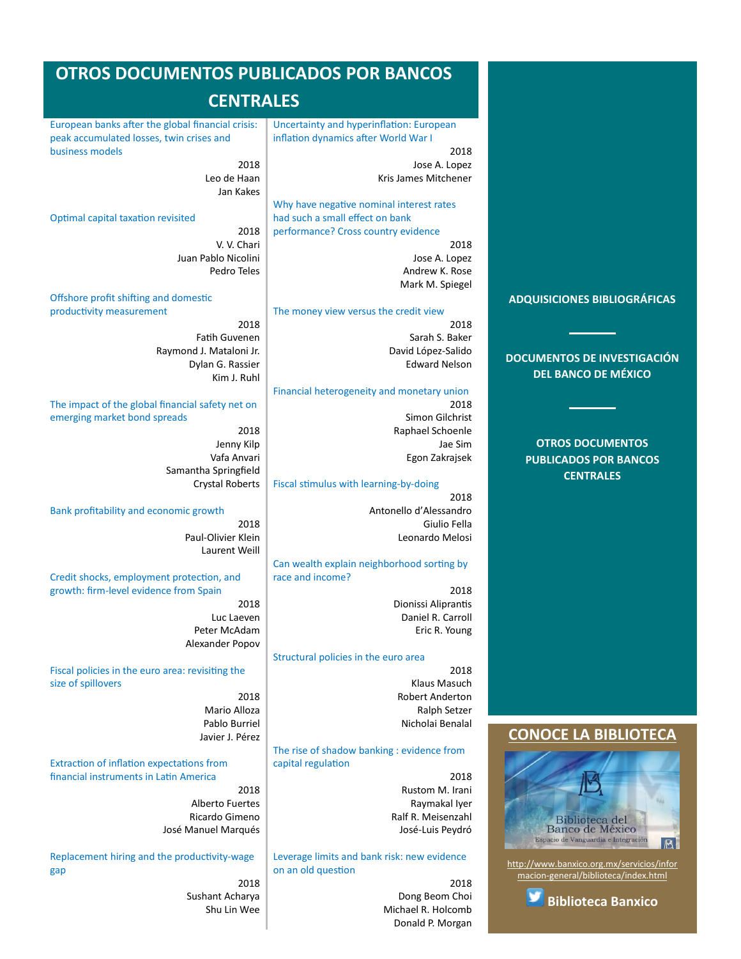# <span id="page-3-0"></span>**OTROS DOCUMENTOS PUBLICADOS POR BANCOS**

# **CENTRALES**

[European banks after the global financial crisis:](#page-11-0)  [peak accumulated losses, twin crises and](#page-11-0)  [business models](#page-11-0)

> 2018 Leo de Haan Jan Kakes

[Optimal capital taxation revisited](#page-11-0)

2018 V. V. Chari Juan Pablo Nicolini Pedro Teles

#### [Offshore profit shifting and domestic](#page-11-0)  [productivity measurement](#page-11-0)

2018 Fatih Guvenen Raymond J. Mataloni Jr. Dylan G. Rassier Kim J. Ruhl

#### [The impact of the global financial safety net on](#page-11-0)  [emerging market bond spreads](#page-11-0)

2018 Jenny Kilp Vafa Anvari Samantha Springfield Crystal Roberts

#### [Bank profitability and economic growth](#page-11-0)

2018 Paul-Olivier Klein Laurent Weill

[Credit shocks, employment protection, and](#page-11-0)  [growth: firm-level evidence from Spain](#page-11-0)

> 2018 Luc Laeven Peter McAdam Alexander Popov

[Fiscal policies in the euro area: revisiting the](#page-12-0)  [size of spillovers](#page-12-0)

2018 Mario Alloza Pablo Burriel Javier J. Pérez

[Extraction of inflation expectations from](#page-12-1)  [financial instruments in Latin America](#page-12-1)

> 2018 Alberto Fuertes Ricardo Gimeno José Manuel Marqués

[Replacement hiring and the productivity-wage](#page-12-2)  [gap](#page-12-2) 2018

Sushant Acharya Shu Lin Wee [Uncertainty and hyperinflation: European](#page-12-3)  [inflation dynamics after World War I](#page-12-3)

> 2018 Jose A. Lopez Kris James Mitchener

> > Andrew K. Rose Mark M. Spiegel

[Why have negative nominal interest rates](#page-12-4)  [had such a small effect on bank](#page-12-4)  [performance? Cross country evidence](#page-12-4) 2018 Jose A. Lopez

[The money view versus the credit view](#page-12-5)

2018 Sarah S. Baker David López-Salido Edward Nelson

#### [Financial heterogeneity and monetary union](#page-13-0)

2018 Simon Gilchrist Raphael Schoenle Jae Sim Egon Zakrajsek

#### [Fiscal stimulus with learning-by-doing](#page-13-1)

2018 Antonello d'Alessandro Giulio Fella Leonardo Melosi

#### [Can wealth explain neighborhood sorting by](#page-13-2)  [race and income?](#page-13-2)

2018 Dionissi Aliprantis Daniel R. Carroll Eric R. Young

#### [Structural policies in the euro area](#page-13-3)

2018 Klaus Masuch Robert Anderton Ralph Setzer Nicholai Benalal

[The rise of shadow banking : evidence from](#page-13-4)  [capital regulation](#page-13-4)

> 2018 Rustom M. Irani Raymakal Iyer Ralf R. Meisenzahl José-Luis Peydró

[Leverage limits and bank risk: new evidence](#page-13-5)  [on an old question](#page-13-5)

> 2018 Dong Beom Choi Michael R. Holcomb Donald P. Morgan

#### **[ADQUISICIONES BIBLIOGRÁFICAS](#page-1-0)**

**[DOCUMENTOS DE INVESTIGACIÓN](#page-2-0)  [DEL BANCO DE MÉXICO](#page-2-0)**

#### **[OTROS DOCUMENTOS](#page-3-0)  [PUBLICADOS POR BANCOS](#page-3-0)  [CENTRALES](#page-3-0)**

## **[CONOCE LA BIBLIOTECA](http://www.banxico.org.mx/servicios/informacion-general/biblioteca/index.html)**



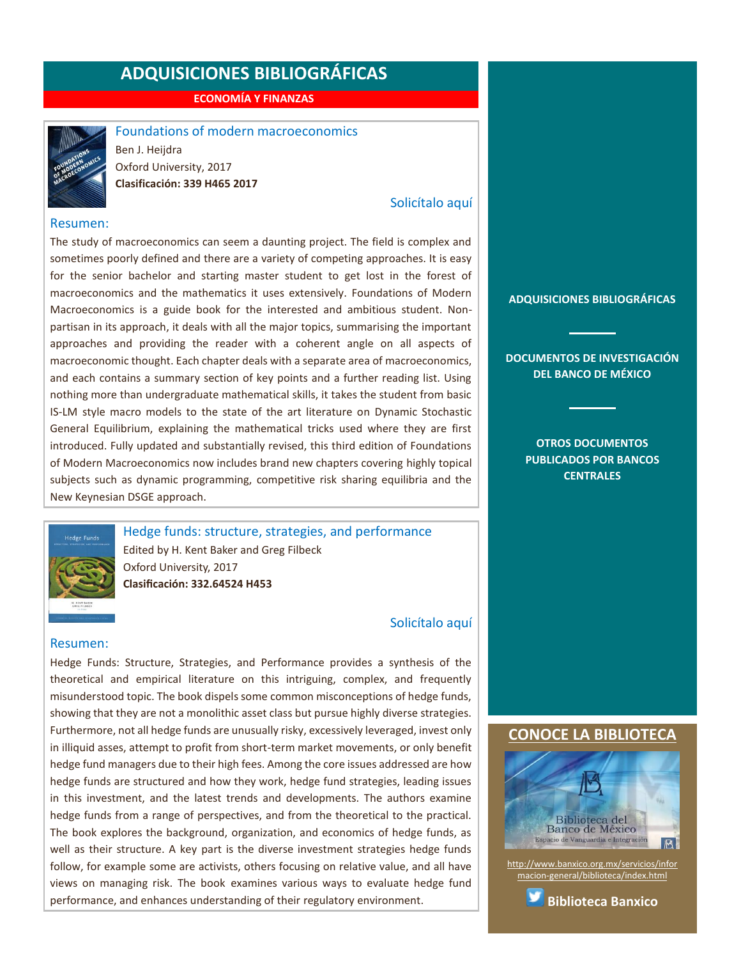**ECONOMÍA Y FINANZAS**



<span id="page-4-0"></span>Foundations of modern macroeconomics Ben J. Heijdra Oxford University, 2017 **Clasificación: 339 H465 2017**

#### [Solicítalo aquí](mailto:osbib@banxico.org.mx?subject=+Solicito%20el%20siguiente%20material&body=Solicito%20en%20préstamo%20el%20siguiente%20título%20%22Foundations%20of%20modern%20macroeconomics%22%20con%20clasificación%20339%20H465%202017)

#### Resumen:

The study of macroeconomics can seem a daunting project. The field is complex and sometimes poorly defined and there are a variety of competing approaches. It is easy for the senior bachelor and starting master student to get lost in the forest of macroeconomics and the mathematics it uses extensively. Foundations of Modern Macroeconomics is a guide book for the interested and ambitious student. Nonpartisan in its approach, it deals with all the major topics, summarising the important approaches and providing the reader with a coherent angle on all aspects of macroeconomic thought. Each chapter deals with a separate area of macroeconomics, and each contains a summary section of key points and a further reading list. Using nothing more than undergraduate mathematical skills, it takes the student from basic IS-LM style macro models to the state of the art literature on Dynamic Stochastic General Equilibrium, explaining the mathematical tricks used where they are first introduced. Fully updated and substantially revised, this third edition of Foundations of Modern Macroeconomics now includes brand new chapters covering highly topical subjects such as dynamic programming, competitive risk sharing equilibria and the New Keynesian DSGE approach.



<span id="page-4-1"></span>Hedge funds: structure, strategies, and performance Edited by H. Kent Baker and Greg Filbeck Oxford University, 2017 **Clasificación: 332.64524 H453**

#### [Solicítalo aquí](mailto:osbib@banxico.org.mx?subject=+Solicito%20el%20siguiente%20material&body=Solicito%20en%20préstamo%20el%20siguiente%20título%20%22Hedge%20funds%22%20con%20clasificación%20332.64524%20H453)

#### Resumen:

Hedge Funds: Structure, Strategies, and Performance provides a synthesis of the theoretical and empirical literature on this intriguing, complex, and frequently misunderstood topic. The book dispels some common misconceptions of hedge funds, showing that they are not a monolithic asset class but pursue highly diverse strategies. Furthermore, not all hedge funds are unusually risky, excessively leveraged, invest only in illiquid asses, attempt to profit from short-term market movements, or only benefit hedge fund managers due to their high fees. Among the core issues addressed are how hedge funds are structured and how they work, hedge fund strategies, leading issues in this investment, and the latest trends and developments. The authors examine hedge funds from a range of perspectives, and from the theoretical to the practical. The book explores the background, organization, and economics of hedge funds, as well as their structure. A key part is the diverse investment strategies hedge funds follow, for example some are activists, others focusing on relative value, and all have views on managing risk. The book examines various ways to evaluate hedge fund performance, and enhances understanding of their regulatory environment.

**[ADQUISICIONES BIBLIOGRÁFICAS](#page-1-0)**

**[DOCUMENTOS DE INVESTIGACIÓN](#page-2-0)  [DEL BANCO DE MÉXICO](#page-2-0)**

> **[OTROS DOCUMENTOS](#page-3-0)  [PUBLICADOS POR BANCOS](#page-3-0)  [CENTRALES](#page-3-0)**

### **[CONOCE LA BIBLIOTECA](http://www.banxico.org.mx/servicios/informacion-general/biblioteca/index.html)**



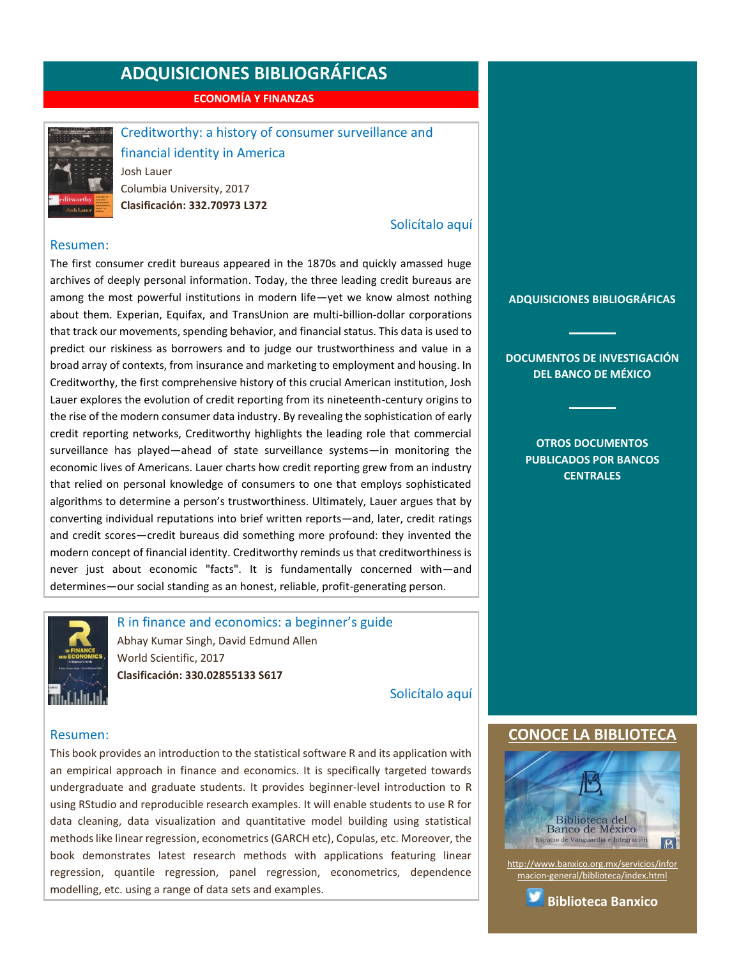**ECONOMÍA Y FINANZAS**



<span id="page-5-0"></span>Creditworthy: a history of consumer surveillance and financial identity in America Josh Lauer Columbia University, 2017 **Clasificación: 332.70973 L372**

#### [Solicítalo aquí](mailto:osbib@banxico.org.mx?subject=+Solicito%20el%20siguiente%20material&body=Solicito%20en%20préstamo%20el%20siguiente%20título%20%22Creditworthy%22%20con%20clasificación%20332.70973%20L372)

#### Resumen:

The first consumer credit bureaus appeared in the 1870s and quickly amassed huge archives of deeply personal information. Today, the three leading credit bureaus are among the most powerful institutions in modern life—yet we know almost nothing about them. Experian, Equifax, and TransUnion are multi-billion-dollar corporations that track our movements, spending behavior, and financial status. This data is used to predict our riskiness as borrowers and to judge our trustworthiness and value in a broad array of contexts, from insurance and marketing to employment and housing. In Creditworthy, the first comprehensive history of this crucial American institution, Josh Lauer explores the evolution of credit reporting from its nineteenth-century origins to the rise of the modern consumer data industry. By revealing the sophistication of early credit reporting networks, Creditworthy highlights the leading role that commercial surveillance has played—ahead of state surveillance systems—in monitoring the economic lives of Americans. Lauer charts how credit reporting grew from an industry that relied on personal knowledge of consumers to one that employs sophisticated algorithms to determine a person's trustworthiness. Ultimately, Lauer argues that by converting individual reputations into brief written reports—and, later, credit ratings and credit scores—credit bureaus did something more profound: they invented the modern concept of financial identity. Creditworthy reminds us that creditworthiness is never just about economic "facts". It is fundamentally concerned with—and determines—our social standing as an honest, reliable, profit-generating person.



<span id="page-5-1"></span>R in finance and economics: a beginner's guide Abhay Kumar Singh, David Edmund Allen World Scientific, 2017 **Clasificación: 330.02855133 S617** 

[Solicítalo aquí](mailto:osbib@banxico.org.mx?subject=+Solicito%20el%20siguiente%20material&body=Solicito%20en%20préstamo%20el%20siguiente%20título%20%22R%20in%20finance%20and%20economics%22%20con%20clasificación%20330.02855133%20S617)

#### Resumen:

This book provides an introduction to the statistical software R and its application with an empirical approach in finance and economics. It is specifically targeted towards undergraduate and graduate students. It provides beginner-level introduction to R using RStudio and reproducible research examples. It will enable students to use R for data cleaning, data visualization and quantitative model building using statistical methods like linear regression, econometrics (GARCH etc), Copulas, etc. Moreover, the book demonstrates latest research methods with applications featuring linear regression, quantile regression, panel regression, econometrics, dependence modelling, etc. using a range of data sets and examples.

#### **[ADQUISICIONES BIBLIOGRÁFICAS](#page-1-0)**

**[DOCUMENTOS DE INVESTIGACIÓN](#page-2-0)  [DEL BANCO DE MÉXICO](#page-2-0)**

> **[OTROS DOCUMENTOS](#page-3-0)  [PUBLICADOS POR BANCOS](#page-3-0)  [CENTRALES](#page-3-0)**

### **CONOCE LA BIBLIOTEC**



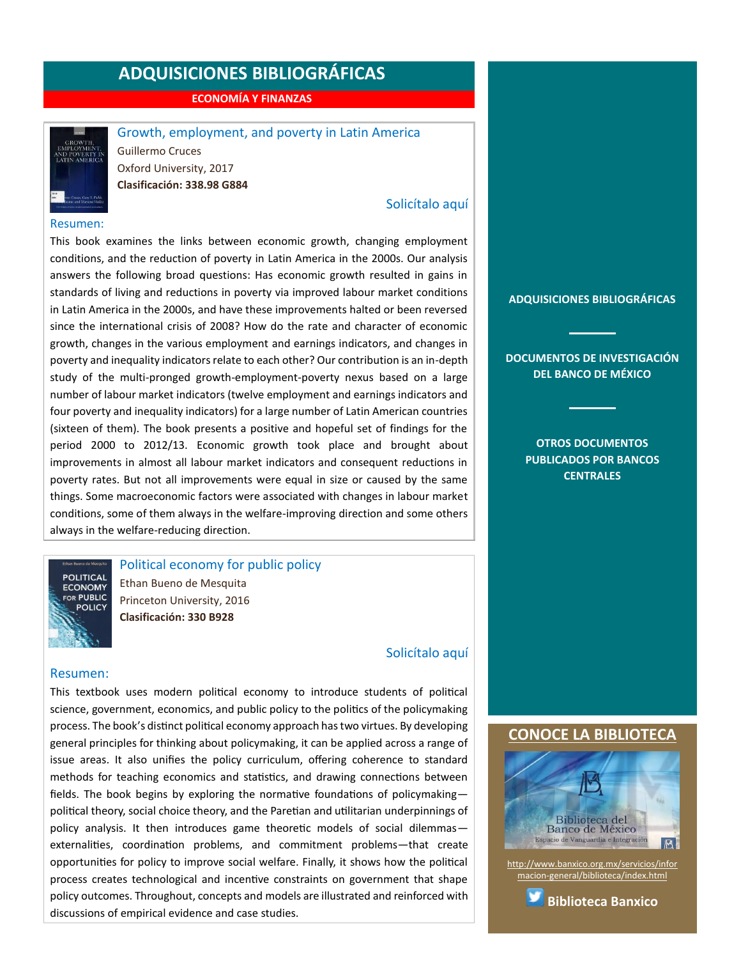**ECONOMÍA Y FINANZAS**



#### <span id="page-6-0"></span>Growth, employment, and poverty in Latin America

Guillermo Cruces Oxford University, 2017 **Clasificación: 338.98 G884**

#### [Solicítalo aquí](mailto:osbib@banxico.org.mx?subject=+Solicito%20el%20siguiente%20material&body=Solicito%20en%20préstamo%20el%20siguiente%20título%20%22Growth,%20employment,%20and%20poverty%20in%20Latin%20America%22%20con%20clasificación%20338.98%20G884)

#### Resumen:

This book examines the links between economic growth, changing employment conditions, and the reduction of poverty in Latin America in the 2000s. Our analysis answers the following broad questions: Has economic growth resulted in gains in standards of living and reductions in poverty via improved labour market conditions in Latin America in the 2000s, and have these improvements halted or been reversed since the international crisis of 2008? How do the rate and character of economic growth, changes in the various employment and earnings indicators, and changes in poverty and inequality indicators relate to each other? Our contribution is an in-depth study of the multi-pronged growth-employment-poverty nexus based on a large number of labour market indicators (twelve employment and earnings indicators and four poverty and inequality indicators) for a large number of Latin American countries (sixteen of them). The book presents a positive and hopeful set of findings for the period 2000 to 2012/13. Economic growth took place and brought about improvements in almost all labour market indicators and consequent reductions in poverty rates. But not all improvements were equal in size or caused by the same things. Some macroeconomic factors were associated with changes in labour market conditions, some of them always in the welfare-improving direction and some others always in the welfare-reducing direction.

<span id="page-6-1"></span>Political economy for public policy

**ECONOMY** FOR PUBLIC **POLICY** 

**POLITICAL** 

Ethan Bueno de Mesquita Princeton University, 2016 **Clasificación: 330 B928**

#### [Solicítalo aquí](mailto:osbib@banxico.org.mx?subject=+Solicito%20el%20siguiente%20material&body=Solicito%20en%20préstamo%20el%20siguiente%20título%20%22Political%20economy%20for%20public%20policy%22%20con%20clasificación%20330%20B928)

#### Resumen:

This textbook uses modern political economy to introduce students of political science, government, economics, and public policy to the politics of the policymaking process. The book's distinct political economy approach has two virtues. By developing general principles for thinking about policymaking, it can be applied across a range of issue areas. It also unifies the policy curriculum, offering coherence to standard methods for teaching economics and statistics, and drawing connections between fields. The book begins by exploring the normative foundations of policymaking political theory, social choice theory, and the Paretian and utilitarian underpinnings of policy analysis. It then introduces game theoretic models of social dilemmas externalities, coordination problems, and commitment problems—that create opportunities for policy to improve social welfare. Finally, it shows how the political process creates technological and incentive constraints on government that shape policy outcomes. Throughout, concepts and models are illustrated and reinforced with discussions of empirical evidence and case studies.

**[ADQUISICIONES BIBLIOGRÁFICAS](#page-1-0)**

**[DOCUMENTOS DE INVESTIGACIÓN](#page-2-0)  [DEL BANCO DE MÉXICO](#page-2-0)**

> **[OTROS DOCUMENTOS](#page-3-0)  [PUBLICADOS POR BANCOS](#page-3-0)  [CENTRALES](#page-3-0)**

#### **[CONOCE LA BIBLIOTECA](http://www.banxico.org.mx/servicios/informacion-general/biblioteca/index.html)**



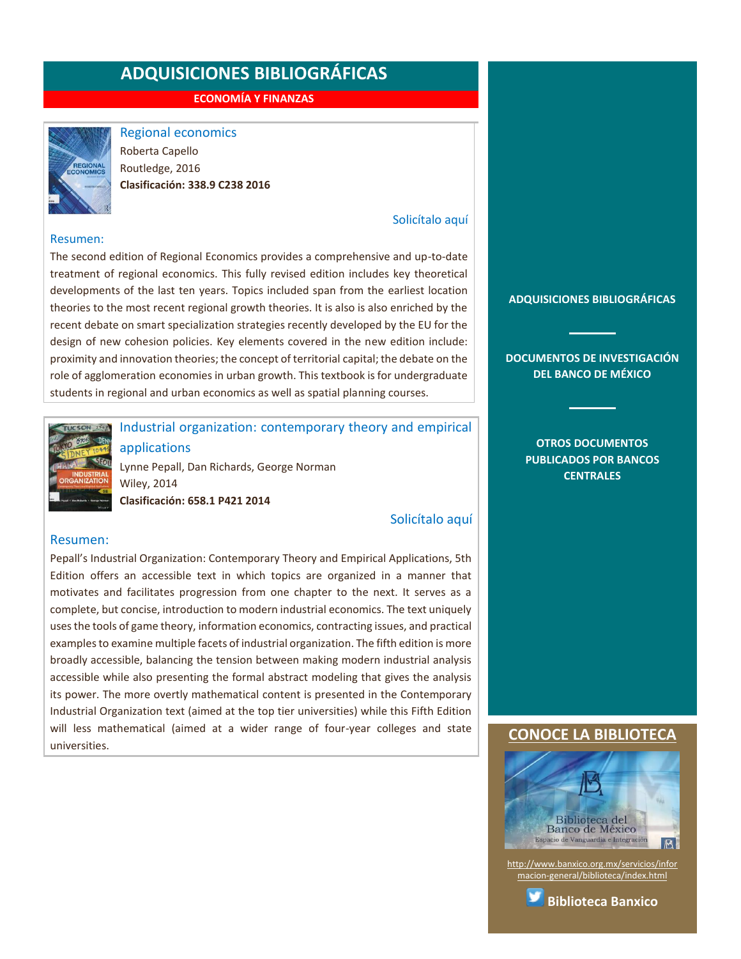**ECONOMÍA Y FINANZAS**



<span id="page-7-0"></span>Regional economics

Roberta Capello Routledge, 2016 **Clasificación: 338.9 C238 2016**

#### [Solicítalo aquí](mailto:osbib@banxico.org.mx?subject=+Solicito%20el%20siguiente%20material&body=Solicito%20en%20préstamo%20el%20siguiente%20título%20%22Regional%20economics%22%20con%20clasificación%20338.9%20C238%202016)

#### Resumen:

The second edition of Regional Economics provides a comprehensive and up-to-date treatment of regional economics. This fully revised edition includes key theoretical developments of the last ten years. Topics included span from the earliest location theories to the most recent regional growth theories. It is also is also enriched by the recent debate on smart specialization strategies recently developed by the EU for the design of new cohesion policies. Key elements covered in the new edition include: proximity and innovation theories; the concept of territorial capital; the debate on the role of agglomeration economies in urban growth. This textbook is for undergraduate students in regional and urban economics as well as spatial planning courses.



# <span id="page-7-1"></span>Industrial organization: contemporary theory and empirical applications

Lynne Pepall, Dan Richards, George Norman Wiley, 2014 **Clasificación: 658.1 P421 2014**

[Solicítalo aquí](mailto:osbib@banxico.org.mx?subject=+Solicito%20el%20siguiente%20material&body=Solicito%20en%20préstamo%20el%20siguiente%20título%20%22Industrial%20organization%22%20con%20clasificación%20658.1%20P421%202014)

#### Resumen:

Pepall's Industrial Organization: Contemporary Theory and Empirical Applications, 5th Edition offers an accessible text in which topics are organized in a manner that motivates and facilitates progression from one chapter to the next. It serves as a complete, but concise, introduction to modern industrial economics. The text uniquely uses the tools of game theory, information economics, contracting issues, and practical examples to examine multiple facets of industrial organization. The fifth edition is more broadly accessible, balancing the tension between making modern industrial analysis accessible while also presenting the formal abstract modeling that gives the analysis its power. The more overtly mathematical content is presented in the Contemporary Industrial Organization text (aimed at the top tier universities) while this Fifth Edition will less mathematical (aimed at a wider range of four-year colleges and state universities.

#### **[ADQUISICIONES BIBLIOGRÁFICAS](#page-1-0)**

**[DOCUMENTOS DE INVESTIGACIÓN](#page-2-0)  [DEL BANCO DE MÉXICO](#page-2-0)**

> **[OTROS DOCUMENTOS](#page-3-0)  [PUBLICADOS POR BANCOS](#page-3-0)  [CENTRALES](#page-3-0)**

#### **[CONOCE LA BIBLIOTECA](http://www.banxico.org.mx/servicios/informacion-general/biblioteca/index.html)**



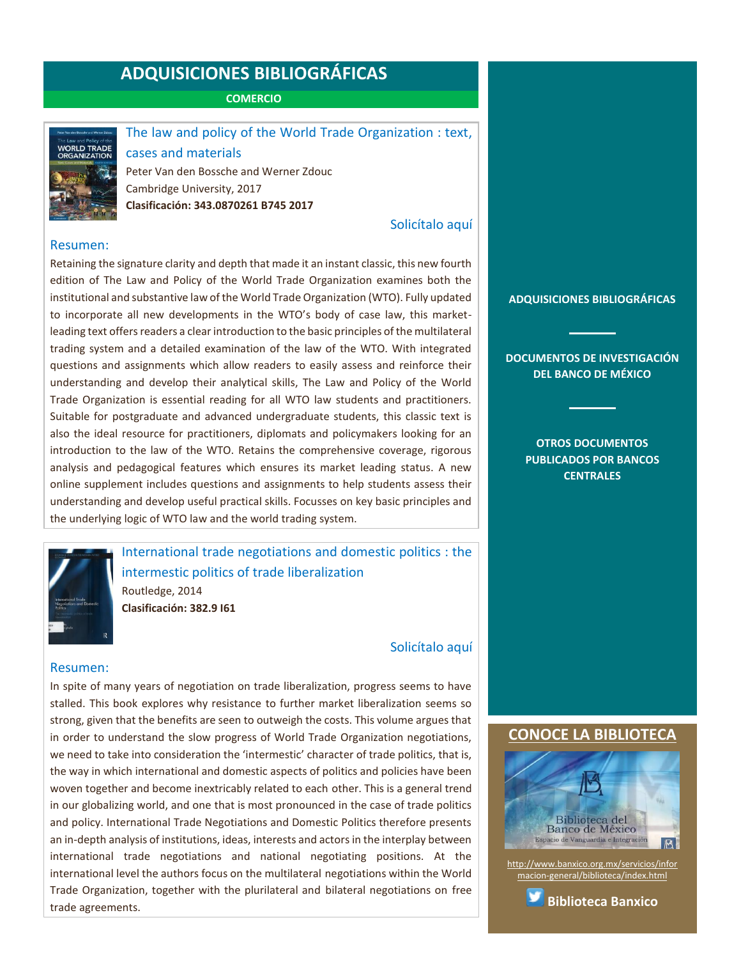**COMERCIO**



### <span id="page-8-0"></span>The law and policy of the World Trade Organization : text,

cases and materials Peter Van den Bossche and Werner Zdouc Cambridge University, 2017 **Clasificación: 343.0870261 B745 2017**

[Solicítalo aquí](mailto:osbib@banxico.org.mx?subject=+Solicito%20el%20siguiente%20material&body=Solicito%20en%20préstamo%20el%20siguiente%20título%20%22The%20law%20and%20policy%20of%20the%20World%20Trade%20Organization%22%20con%20clasificación%20343.0870261%20B745%202017)

#### Resumen:

Retaining the signature clarity and depth that made it an instant classic, this new fourth edition of The Law and Policy of the World Trade Organization examines both the institutional and substantive law of the World Trade Organization (WTO). Fully updated to incorporate all new developments in the WTO's body of case law, this marketleading text offers readers a clear introduction to the basic principles of the multilateral trading system and a detailed examination of the law of the WTO. With integrated questions and assignments which allow readers to easily assess and reinforce their understanding and develop their analytical skills, The Law and Policy of the World Trade Organization is essential reading for all WTO law students and practitioners. Suitable for postgraduate and advanced undergraduate students, this classic text is also the ideal resource for practitioners, diplomats and policymakers looking for an introduction to the law of the WTO. Retains the comprehensive coverage, rigorous analysis and pedagogical features which ensures its market leading status. A new online supplement includes questions and assignments to help students assess their understanding and develop useful practical skills. Focusses on key basic principles and the underlying logic of WTO law and the world trading system.



<span id="page-8-1"></span>International trade negotiations and domestic politics : the intermestic politics of trade liberalization Routledge, 2014 **Clasificación: 382.9 I61**

[Solicítalo aquí](mailto:osbib@banxico.org.mx?subject=+Solicito%20el%20siguiente%20material&body=Solicito%20en%20préstamo%20el%20siguiente%20título%20%22International%20trade%20negotiations%20and%20domestic%20politics%22%20con%20clasificación%20382.9%20I61)

#### Resumen:

In spite of many years of negotiation on trade liberalization, progress seems to have stalled. This book explores why resistance to further market liberalization seems so strong, given that the benefits are seen to outweigh the costs. This volume argues that in order to understand the slow progress of World Trade Organization negotiations, we need to take into consideration the 'intermestic' character of trade politics, that is, the way in which international and domestic aspects of politics and policies have been woven together and become inextricably related to each other. This is a general trend in our globalizing world, and one that is most pronounced in the case of trade politics and policy. International Trade Negotiations and Domestic Politics therefore presents an in-depth analysis of institutions, ideas, interests and actors in the interplay between international trade negotiations and national negotiating positions. At the international level the authors focus on the multilateral negotiations within the World Trade Organization, together with the plurilateral and bilateral negotiations on free trade agreements.

#### **[ADQUISICIONES BIBLIOGRÁFICAS](#page-1-0)**

**[DOCUMENTOS DE INVESTIGACIÓN](#page-2-0)  [DEL BANCO DE MÉXICO](#page-2-0)**

> **[OTROS DOCUMENTOS](#page-3-0)  [PUBLICADOS POR BANCOS](#page-3-0)  [CENTRALES](#page-3-0)**

### **[CONOCE LA BIBLIOTECA](http://www.banxico.org.mx/servicios/informacion-general/biblioteca/index.html)**



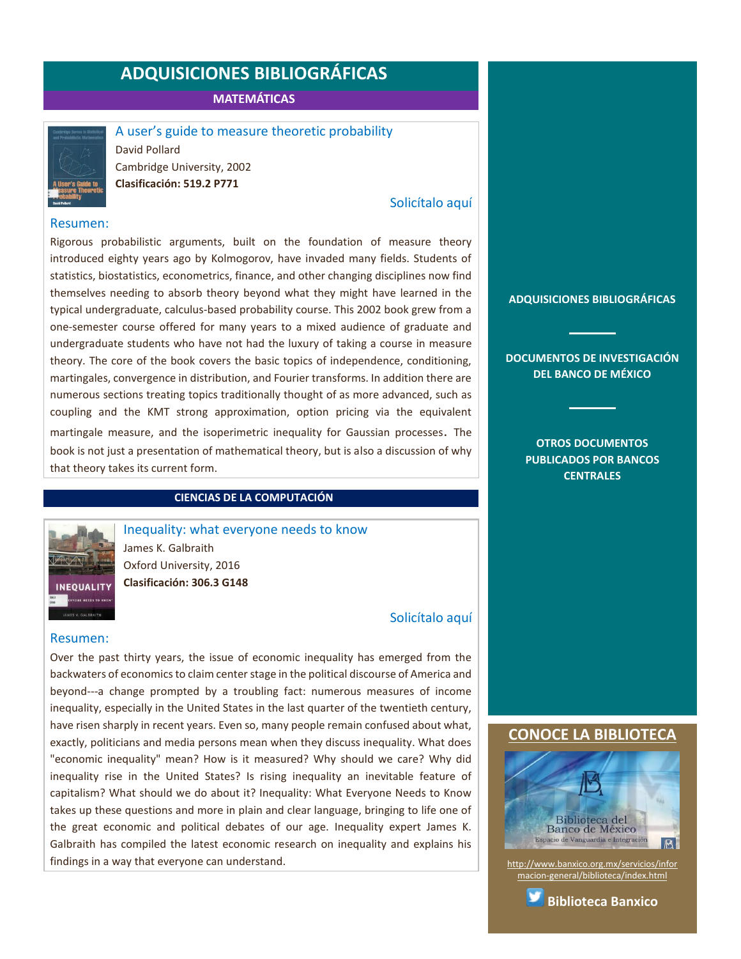**MATEMÁTICAS**



<span id="page-9-0"></span>A user's guide to measure theoretic probability David Pollard

Cambridge University, 2002 **Clasificación: 519.2 P771**

#### [Solicítalo aquí](mailto:osbib@banxico.org.mx?subject=+Solicito%20el%20siguiente%20material&body=Solicito%20en%20préstamo%20el%20siguiente%20título%20%22A%20user’s%20guide%20to%20measure%20theoretic%20probability%22%20con%20clasificación%20519.2%20P771)

#### Resumen:

Rigorous probabilistic arguments, built on the foundation of measure theory introduced eighty years ago by Kolmogorov, have invaded many fields. Students of statistics, biostatistics, econometrics, finance, and other changing disciplines now find themselves needing to absorb theory beyond what they might have learned in the typical undergraduate, calculus-based probability course. This 2002 book grew from a one-semester course offered for many years to a mixed audience of graduate and undergraduate students who have not had the luxury of taking a course in measure theory. The core of the book covers the basic topics of independence, conditioning, martingales, convergence in distribution, and Fourier transforms. In addition there are numerous sections treating topics traditionally thought of as more advanced, such as coupling and the KMT strong approximation, option pricing via the equivalent martingale measure, and the isoperimetric inequality for Gaussian processes. The book is not just a presentation of mathematical theory, but is also a discussion of why that theory takes its current form.

#### **CIENCIAS DE LA COMPUTACIÓN**



<span id="page-9-1"></span>Inequality: what everyone needs to know James K. Galbraith Oxford University, 2016 **Clasificación: 306.3 G148**

### [Solicítalo aquí](mailto:osbib@banxico.org.mx?subject=+Solicito%20el%20siguiente%20material&body=Solicito%20en%20préstamo%20el%20siguiente%20título%20%22Inequality%22%20con%20clasificación%20306.3%20G148)

#### Resumen:

Over the past thirty years, the issue of economic inequality has emerged from the backwaters of economics to claim center stage in the political discourse of America and beyond---a change prompted by a troubling fact: numerous measures of income inequality, especially in the United States in the last quarter of the twentieth century, have risen sharply in recent years. Even so, many people remain confused about what, exactly, politicians and media persons mean when they discuss inequality. What does "economic inequality" mean? How is it measured? Why should we care? Why did inequality rise in the United States? Is rising inequality an inevitable feature of capitalism? What should we do about it? Inequality: What Everyone Needs to Know takes up these questions and more in plain and clear language, bringing to life one of the great economic and political debates of our age. Inequality expert James K. Galbraith has compiled the latest economic research on inequality and explains his findings in a way that everyone can understand.

**[ADQUISICIONES BIBLIOGRÁFICAS](#page-1-0)**

**[DOCUMENTOS DE INVESTIGACIÓN](#page-2-0)  [DEL BANCO DE MÉXICO](#page-2-0)**

> **[OTROS DOCUMENTOS](#page-3-0)  [PUBLICADOS POR BANCOS](#page-3-0)  [CENTRALES](#page-3-0)**

#### **[CONOCE LA BIBLIOTECA](http://www.banxico.org.mx/servicios/informacion-general/biblioteca/index.html)**



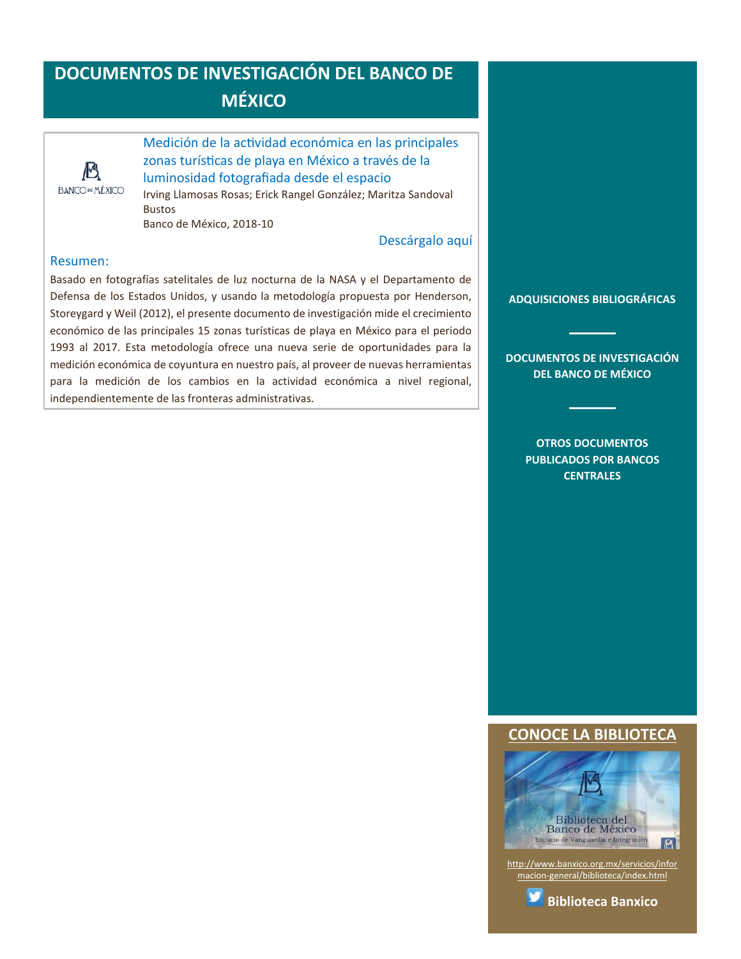# **DOCUMENTOS DE INVESTIGACIÓN DEL BANCO DE MÉXICO**



<span id="page-10-0"></span>Medición de la actividad económica en las principales zonas turísticas de playa en México a través de la luminosidad fotografiada desde el espacio

Irving Llamosas Rosas; Erick Rangel González; Maritza Sandoval Bustos Banco de México, 2018-10

### [Descárgalo aquí](http://www.banxico.org.mx/publicaciones-y-discursos/publicaciones/documentos-de-investigacion/banxico/%7B5B114FE0-C7D5-D341-0B01-3D2F31744B76%7D.pdf)

#### Resumen:

Basado en fotografías satelitales de luz nocturna de la NASA y el Departamento de Defensa de los Estados Unidos, y usando la metodología propuesta por Henderson, Storeygard y Weil (2012), el presente documento de investigación mide el crecimiento económico de las principales 15 zonas turísticas de playa en México para el periodo 1993 al 2017. Esta metodología ofrece una nueva serie de oportunidades para la medición económica de coyuntura en nuestro país, al proveer de nuevas herramientas para la medición de los cambios en la actividad económica a nivel regional, independientemente de las fronteras administrativas.

**[ADQUISICIONES BIBLIOGRÁFICAS](#page-1-0)**

**[DOCUMENTOS DE INVESTIGACIÓN](#page-2-0)  [DEL BANCO DE MÉXICO](#page-2-0)**

> **[OTROS DOCUMENTOS](#page-3-0)  [PUBLICADOS POR BANCOS](#page-3-0)  [CENTRALES](#page-3-0)**

#### **[CONOCE LA BIBLIOTECA](http://www.banxico.org.mx/servicios/informacion-general/biblioteca/index.html)**



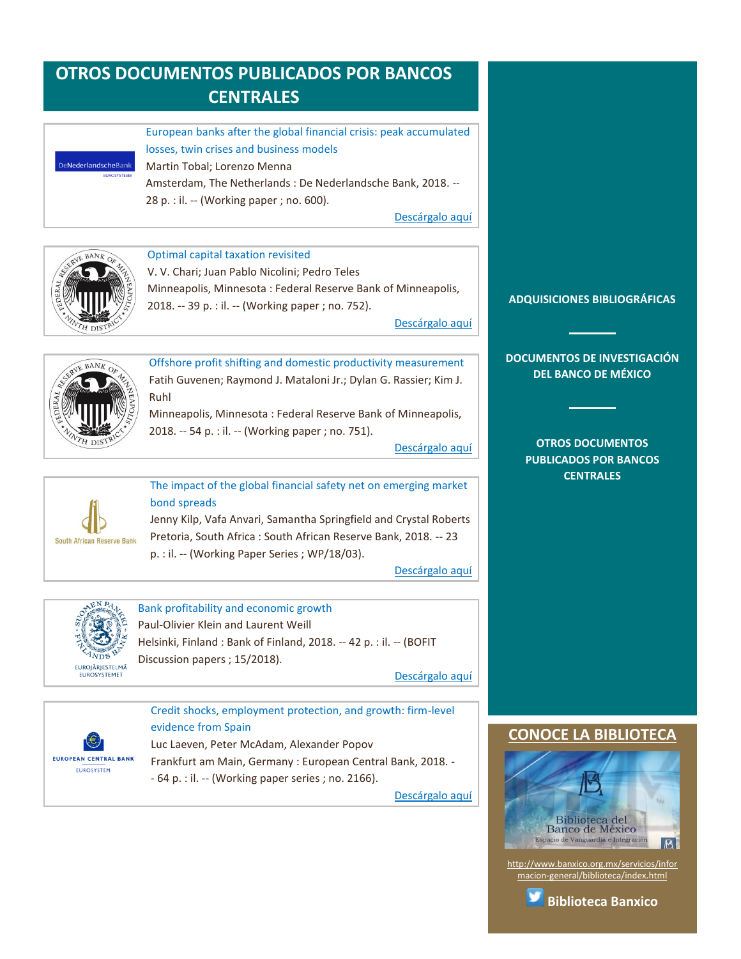# <span id="page-11-0"></span>**OTROS DOCUMENTOS PUBLICADOS POR BANCOS CENTRALES**



European banks after the global financial crisis: peak accumulated losses, twin crises and business models Martin Tobal; Lorenzo Menna Amsterdam, The Netherlands : De Nederlandsche Bank, 2018. -- 28 p. : il. -- (Working paper ; no. 600).

[Descárgalo aquí](https://www.dnb.nl/en/binaries/Working%20Paper%20No.%20600_tcm47-377454.pdf)





V. V. Chari; Juan Pablo Nicolini; Pedro Teles Minneapolis, Minnesota : Federal Reserve Bank of Minneapolis, 2018. -- 39 p. : il. -- (Working paper ; no. 752).

[Descárgalo aquí](https://minneapolisfed.org/research/wp/wp752.pdf)



Offshore profit shifting and domestic productivity measurement Fatih Guvenen; Raymond J. Mataloni Jr.; Dylan G. Rassier; Kim J. Ruhl Minneapolis, Minnesota : Federal Reserve Bank of Minneapolis,

2018. -- 54 p. : il. -- (Working paper ; no. 751).

[Descárgalo aquí](https://minneapolisfed.org/research/wp/wp751.pdf)



The impact of the global financial safety net on emerging market bond spreads Jenny Kilp, Vafa Anvari, Samantha Springfield and Crystal Roberts Pretoria, South Africa : South African Reserve Bank, 2018. -- 23

p. : il. -- (Working Paper Series ; WP/18/03).

[Descárgalo aquí](http://www.resbank.co.za/Lists/News%20and%20Publications/Attachments/8655/WP%201803.pdf)



Bank profitability and economic growth Paul-Olivier Klein and Laurent Weill Helsinki, Finland : Bank of Finland, 2018. -- 42 p. : il. -- (BOFIT Discussion papers ; 15/2018).

[Descárgalo aquí](https://helda.helsinki.fi/bof/bitstream/123456789/15581/1/dp1518.pdf)



Credit shocks, employment protection, and growth: firm-level evidence from Spain Luc Laeven, Peter McAdam, Alexander Popov Frankfurt am Main, Germany : European Central Bank, 2018. - - 64 p. : il. -- (Working paper series ; no. 2166).

[Descárgalo aquí](https://www.ecb.europa.eu/pub/pdf/scpwps/ecb.wp2166.en.pdf)

### **[ADQUISICIONES BIBLIOGRÁFICAS](#page-1-0)**

**[DOCUMENTOS DE INVESTIGACIÓN](#page-2-0)  [DEL BANCO DE MÉXICO](#page-2-0)**

> **[OTROS DOCUMENTOS](#page-3-0)  [PUBLICADOS POR BANCOS](#page-3-0)  [CENTRALES](#page-3-0)**

## **CONOCE LA BIBLIOTEC**



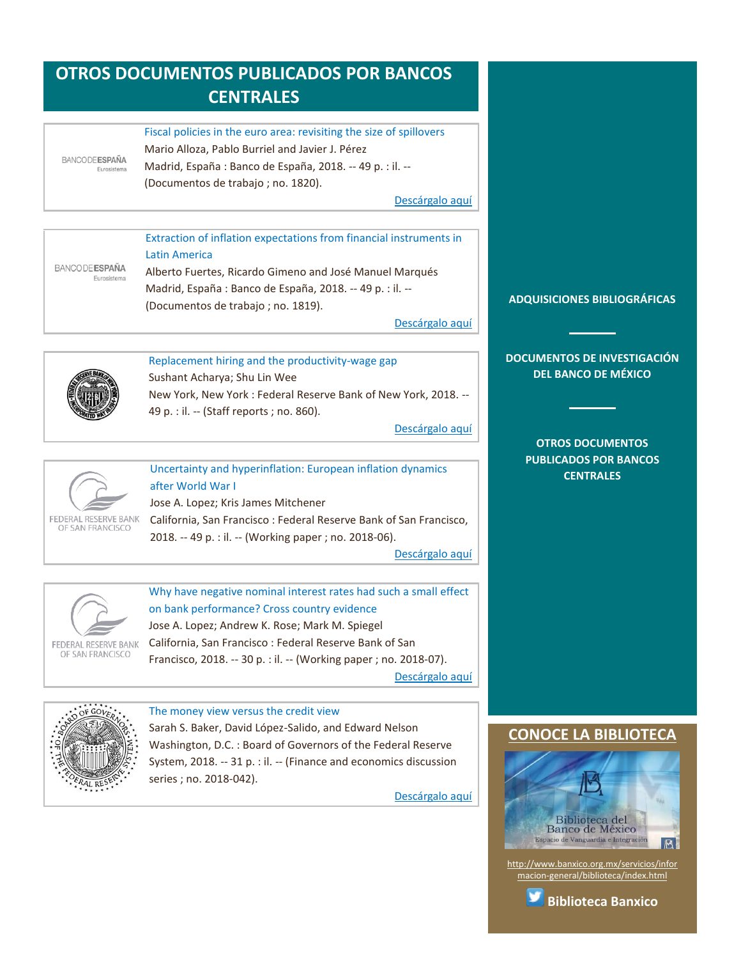# **OTROS DOCUMENTOS PUBLICADOS POR BANCOS CENTRALES**

#### Fiscal policies in the euro area: revisiting the size of spillovers Mario Alloza, Pablo Burriel and Javier J. Pérez **BANCODEESPAÑA** Madrid, España : Banco de España, 2018. -- 49 p. : il. -- (Documentos de trabajo ; no. 1820).

[Descárgalo aquí](https://www.bde.es/f/webbde/SES/Secciones/Publicaciones/PublicacionesSeriadas/DocumentosTrabajo/18/Files/dt1820e.pdf)

Extraction of inflation expectations from financial instruments in Latin America **BANCODE ESPAÑA** Alberto Fuertes, Ricardo Gimeno and José Manuel Marqués Eurosistema Madrid, España : Banco de España, 2018. -- 49 p. : il. -- (Documentos de trabajo ; no. 1819).

[Descárgalo aquí](https://www.bde.es/f/webbde/SES/Secciones/Publicaciones/PublicacionesSeriadas/DocumentosTrabajo/18/Files/dt1819e.pdf)



<span id="page-12-1"></span><span id="page-12-0"></span>Euros

<span id="page-12-2"></span>Replacement hiring and the productivity-wage gap Sushant Acharya; Shu Lin Wee

New York, New York : Federal Reserve Bank of New York, 2018. -- 49 p. : il. -- (Staff reports ; no. 860).

[Descárgalo aquí](https://www.newyorkfed.org/medialibrary/media/research/staff_reports/sr860.pdf)



<span id="page-12-3"></span>Uncertainty and hyperinflation: European inflation dynamics after World War I

Jose A. Lopez; Kris James Mitchener California, San Francisco : Federal Reserve Bank of San Francisco, 2018. -- 49 p. : il. -- (Working paper ; no. 2018-06).

[Descárgalo aquí](https://www.frbsf.org/economic-research/files/wp2018-06.pdf)



<span id="page-12-4"></span>Why have negative nominal interest rates had such a small effect on bank performance? Cross country evidence

Jose A. Lopez; Andrew K. Rose; Mark M. Spiegel California, San Francisco : Federal Reserve Bank of San Francisco, 2018. -- 30 p. : il. -- (Working paper ; no. 2018-07).

[Descárgalo aquí](https://www.frbsf.org/economic-research/files/wp2018-07.pdf)



<span id="page-12-5"></span>The money view versus the credit view Sarah S. Baker, David López-Salido, and Edward Nelson Washington, D.C. : Board of Governors of the Federal Reserve System, 2018. -- 31 p. : il. -- (Finance and economics discussion series ; no. 2018-042).

[Descárgalo aquí](https://www.federalreserve.gov/econres/feds/files/2018042pap.pdf)

#### **[ADQUISICIONES BIBLIOGRÁFICAS](#page-1-0)**

**[DOCUMENTOS DE INVESTIGACIÓN](#page-2-0)  [DEL BANCO DE MÉXICO](#page-2-0)**

> **[OTROS DOCUMENTOS](#page-3-0)  [PUBLICADOS POR BANCOS](#page-3-0)  [CENTRALES](#page-3-0)**

## **[CONOCE LA BIBLIOTECA](http://www.banxico.org.mx/servicios/informacion-general/biblioteca/index.html)**